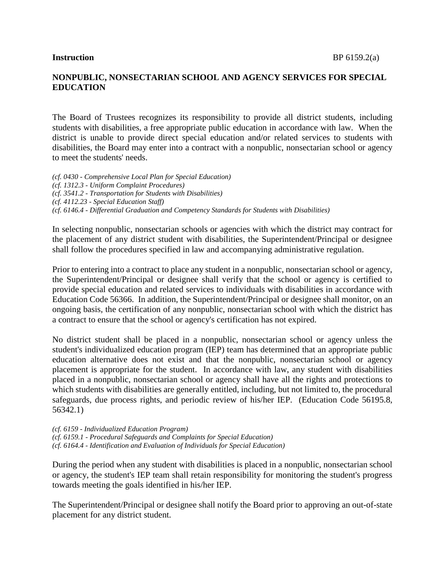## **NONPUBLIC, NONSECTARIAN SCHOOL AND AGENCY SERVICES FOR SPECIAL EDUCATION**

The Board of Trustees recognizes its responsibility to provide all district students, including students with disabilities, a free appropriate public education in accordance with law. When the district is unable to provide direct special education and/or related services to students with disabilities, the Board may enter into a contract with a nonpublic, nonsectarian school or agency to meet the students' needs.

*(cf. 0430 - Comprehensive Local Plan for Special Education) (cf. 1312.3 - Uniform Complaint Procedures) (cf. 3541.2 - Transportation for Students with Disabilities) (cf. 4112.23 - Special Education Staff) (cf. 6146.4 - Differential Graduation and Competency Standards for Students with Disabilities)*

In selecting nonpublic, nonsectarian schools or agencies with which the district may contract for the placement of any district student with disabilities, the Superintendent/Principal or designee shall follow the procedures specified in law and accompanying administrative regulation.

Prior to entering into a contract to place any student in a nonpublic, nonsectarian school or agency, the Superintendent/Principal or designee shall verify that the school or agency is certified to provide special education and related services to individuals with disabilities in accordance with Education Code 56366. In addition, the Superintendent/Principal or designee shall monitor, on an ongoing basis, the certification of any nonpublic, nonsectarian school with which the district has a contract to ensure that the school or agency's certification has not expired.

No district student shall be placed in a nonpublic, nonsectarian school or agency unless the student's individualized education program (IEP) team has determined that an appropriate public education alternative does not exist and that the nonpublic, nonsectarian school or agency placement is appropriate for the student. In accordance with law, any student with disabilities placed in a nonpublic, nonsectarian school or agency shall have all the rights and protections to which students with disabilities are generally entitled, including, but not limited to, the procedural safeguards, due process rights, and periodic review of his/her IEP. (Education Code 56195.8, 56342.1)

*(cf. 6159 - Individualized Education Program) (cf. 6159.1 - Procedural Safeguards and Complaints for Special Education) (cf. 6164.4 - Identification and Evaluation of Individuals for Special Education)*

During the period when any student with disabilities is placed in a nonpublic, nonsectarian school or agency, the student's IEP team shall retain responsibility for monitoring the student's progress towards meeting the goals identified in his/her IEP.

The Superintendent/Principal or designee shall notify the Board prior to approving an out-of-state placement for any district student.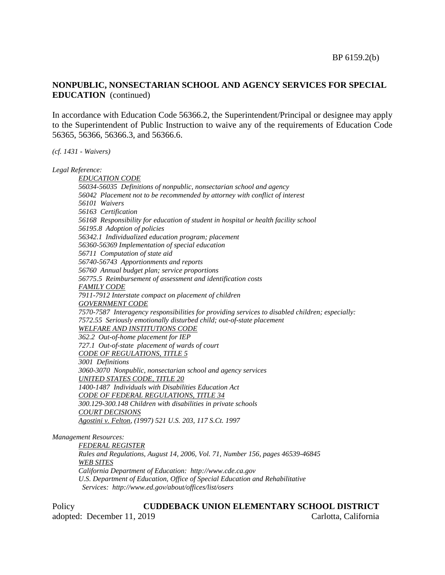## **NONPUBLIC, NONSECTARIAN SCHOOL AND AGENCY SERVICES FOR SPECIAL EDUCATION** (continued)

In accordance with Education Code 56366.2, the Superintendent/Principal or designee may apply to the Superintendent of Public Instruction to waive any of the requirements of Education Code 56365, 56366, 56366.3, and 56366.6.

*(cf. 1431 - Waivers)*

*Legal Reference:*

*EDUCATION CODE 56034-56035 Definitions of nonpublic, nonsectarian school and agency 56042 Placement not to be recommended by attorney with conflict of interest 56101 Waivers 56163 Certification 56168 Responsibility for education of student in hospital or health facility school 56195.8 Adoption of policies 56342.1 Individualized education program; placement 56360-56369 Implementation of special education 56711 Computation of state aid 56740-56743 Apportionments and reports 56760 Annual budget plan; service proportions 56775.5 Reimbursement of assessment and identification costs FAMILY CODE 7911-7912 Interstate compact on placement of children GOVERNMENT CODE 7570-7587 Interagency responsibilities for providing services to disabled children; especially: 7572.55 Seriously emotionally disturbed child; out-of-state placement WELFARE AND INSTITUTIONS CODE 362.2 Out-of-home placement for IEP 727.1 Out-of-state placement of wards of court CODE OF REGULATIONS, TITLE 5 3001 Definitions 3060-3070 Nonpublic, nonsectarian school and agency services UNITED STATES CODE, TITLE 20 1400-1487 Individuals with Disabilities Education Act CODE OF FEDERAL REGULATIONS, TITLE 34 300.129-300.148 Children with disabilities in private schools COURT DECISIONS Agostini v. Felton, (1997) 521 U.S. 203, 117 S.Ct. 1997*

#### *Management Resources:*

*FEDERAL REGISTER Rules and Regulations, August 14, 2006, Vol. 71, Number 156, pages 46539-46845 WEB SITES California Department of Education: http://www.cde.ca.gov U.S. Department of Education, Office of Special Education and Rehabilitative Services: http://www.ed.gov/about/offices/list/osers*

#### Policy **CUDDEBACK UNION ELEMENTARY SCHOOL DISTRICT**

adopted: December 11, 2019 Carlotta, California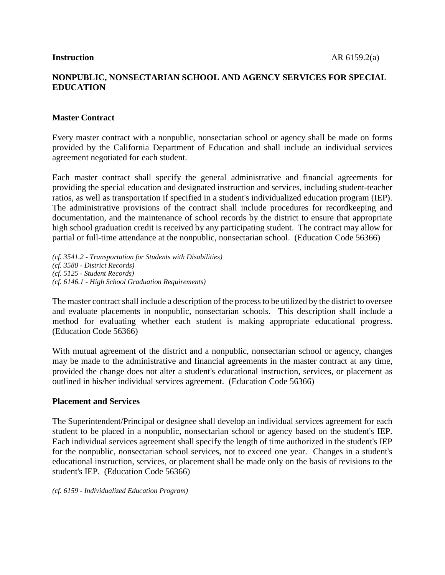## **NONPUBLIC, NONSECTARIAN SCHOOL AND AGENCY SERVICES FOR SPECIAL EDUCATION**

#### **Master Contract**

Every master contract with a nonpublic, nonsectarian school or agency shall be made on forms provided by the California Department of Education and shall include an individual services agreement negotiated for each student.

Each master contract shall specify the general administrative and financial agreements for providing the special education and designated instruction and services, including student-teacher ratios, as well as transportation if specified in a student's individualized education program (IEP). The administrative provisions of the contract shall include procedures for recordkeeping and documentation, and the maintenance of school records by the district to ensure that appropriate high school graduation credit is received by any participating student. The contract may allow for partial or full-time attendance at the nonpublic, nonsectarian school. (Education Code 56366)

*(cf. 3541.2 - Transportation for Students with Disabilities) (cf. 3580 - District Records) (cf. 5125 - Student Records) (cf. 6146.1 - High School Graduation Requirements)*

The master contract shall include a description of the process to be utilized by the district to oversee and evaluate placements in nonpublic, nonsectarian schools. This description shall include a method for evaluating whether each student is making appropriate educational progress. (Education Code 56366)

With mutual agreement of the district and a nonpublic, nonsectarian school or agency, changes may be made to the administrative and financial agreements in the master contract at any time, provided the change does not alter a student's educational instruction, services, or placement as outlined in his/her individual services agreement. (Education Code 56366)

#### **Placement and Services**

The Superintendent/Principal or designee shall develop an individual services agreement for each student to be placed in a nonpublic, nonsectarian school or agency based on the student's IEP. Each individual services agreement shall specify the length of time authorized in the student's IEP for the nonpublic, nonsectarian school services, not to exceed one year. Changes in a student's educational instruction, services, or placement shall be made only on the basis of revisions to the student's IEP. (Education Code 56366)

*(cf. 6159 - Individualized Education Program)*